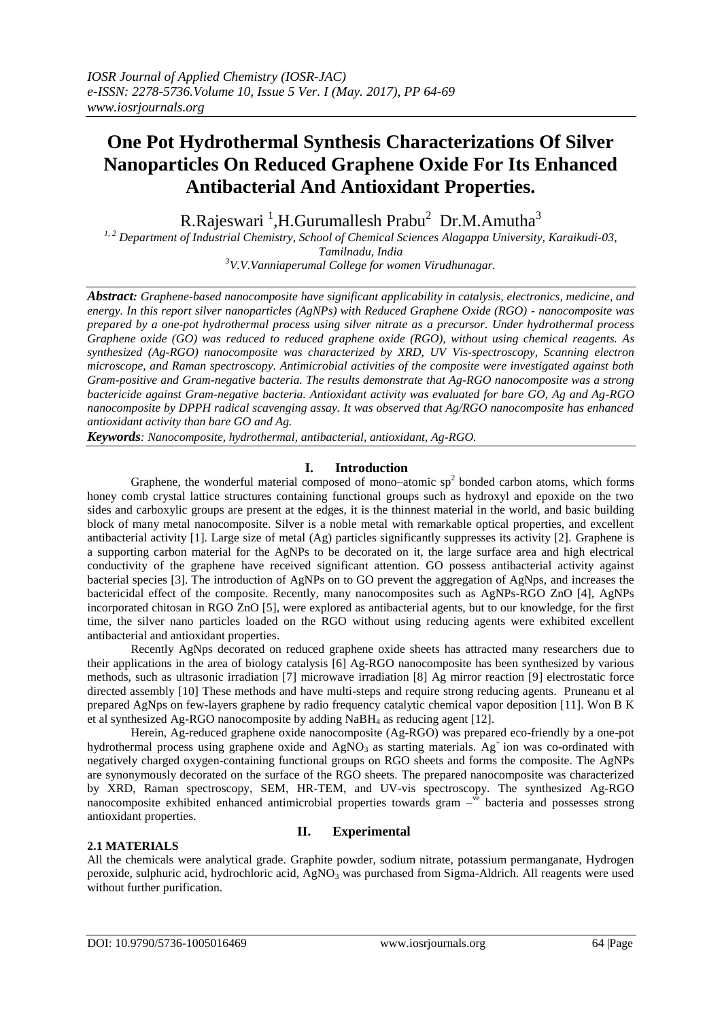# **One Pot Hydrothermal Synthesis Characterizations Of Silver Nanoparticles On Reduced Graphene Oxide For Its Enhanced Antibacterial And Antioxidant Properties.**

R.Rajeswari <sup>1</sup>,H.Gurumallesh Prabu<sup>2</sup> Dr.M.Amutha<sup>3</sup>

*1, 2 Department of Industrial Chemistry, School of Chemical Sciences Alagappa University, Karaikudi-03, Tamilnadu, India*

*<sup>3</sup>V.V.Vanniaperumal College for women Virudhunagar.*

*Abstract: Graphene-based nanocomposite have significant applicability in catalysis, electronics, medicine, and energy. In this report silver nanoparticles (AgNPs) with Reduced Graphene Oxide (RGO) - nanocomposite was prepared by a one-pot hydrothermal process using silver nitrate as a precursor. Under hydrothermal process Graphene oxide (GO) was reduced to reduced graphene oxide (RGO), without using chemical reagents. As synthesized (Ag-RGO) nanocomposite was characterized by XRD, UV Vis-spectroscopy, Scanning electron microscope, and Raman spectroscopy. Antimicrobial activities of the composite were investigated against both Gram-positive and Gram-negative bacteria. The results demonstrate that Ag-RGO nanocomposite was a strong bactericide against Gram-negative bacteria. Antioxidant activity was evaluated for bare GO, Ag and Ag-RGO nanocomposite by DPPH radical scavenging assay. It was observed that Ag/RGO nanocomposite has enhanced antioxidant activity than bare GO and Ag.* 

*Keywords: Nanocomposite, hydrothermal, antibacterial, antioxidant, Ag-RGO.*

# **I. Introduction**

Graphene, the wonderful material composed of mono–atomic  $sp<sup>2</sup>$  bonded carbon atoms, which forms honey comb crystal lattice structures containing functional groups such as hydroxyl and epoxide on the two sides and carboxylic groups are present at the edges, it is the thinnest material in the world, and basic building block of many metal nanocomposite. Silver is a noble metal with remarkable optical properties, and excellent antibacterial activity [1]. Large size of metal (Ag) particles significantly suppresses its activity [2]. Graphene is a supporting carbon material for the AgNPs to be decorated on it, the large surface area and high electrical conductivity of the graphene have received significant attention. GO possess antibacterial activity against bacterial species [3]. The introduction of AgNPs on to GO prevent the aggregation of AgNps, and increases the bactericidal effect of the composite. Recently, many nanocomposites such as AgNPs-RGO ZnO [4], AgNPs incorporated chitosan in RGO ZnO [5], were explored as antibacterial agents, but to our knowledge, for the first time, the silver nano particles loaded on the RGO without using reducing agents were exhibited excellent antibacterial and antioxidant properties.

Recently AgNps decorated on reduced graphene oxide sheets has attracted many researchers due to their applications in the area of biology catalysis [6] Ag-RGO nanocomposite has been synthesized by various methods, such as ultrasonic irradiation [7] microwave irradiation [8] Ag mirror reaction [9] electrostatic force directed assembly [10] These methods and have multi-steps and require strong reducing agents. Pruneanu et al prepared AgNps on few-layers graphene by radio frequency catalytic chemical vapor deposition [11]. Won B K et al synthesized Ag-RGO nanocomposite by adding NaBH<sup>4</sup> as reducing agent [12].

Herein, Ag-reduced graphene oxide nanocomposite (Ag-RGO) was prepared eco-friendly by a one-pot hydrothermal process using graphene oxide and  $AgNO<sub>3</sub>$  as starting materials. Ag<sup>+</sup> ion was co-ordinated with negatively charged oxygen-containing functional groups on RGO sheets and forms the composite. The AgNPs are synonymously decorated on the surface of the RGO sheets. The prepared nanocomposite was characterized by XRD, Raman spectroscopy, SEM, HR-TEM, and UV-vis spectroscopy. The synthesized Ag-RGO nanocomposite exhibited enhanced antimicrobial properties towards gram -<sup>ve</sup> bacteria and possesses strong antioxidant properties.

#### **2.1 MATERIALS**

## **II. Experimental**

All the chemicals were analytical grade. Graphite powder, sodium nitrate, potassium permanganate, Hydrogen peroxide, sulphuric acid, hydrochloric acid,  $AgNO<sub>3</sub>$  was purchased from Sigma-Aldrich. All reagents were used without further purification.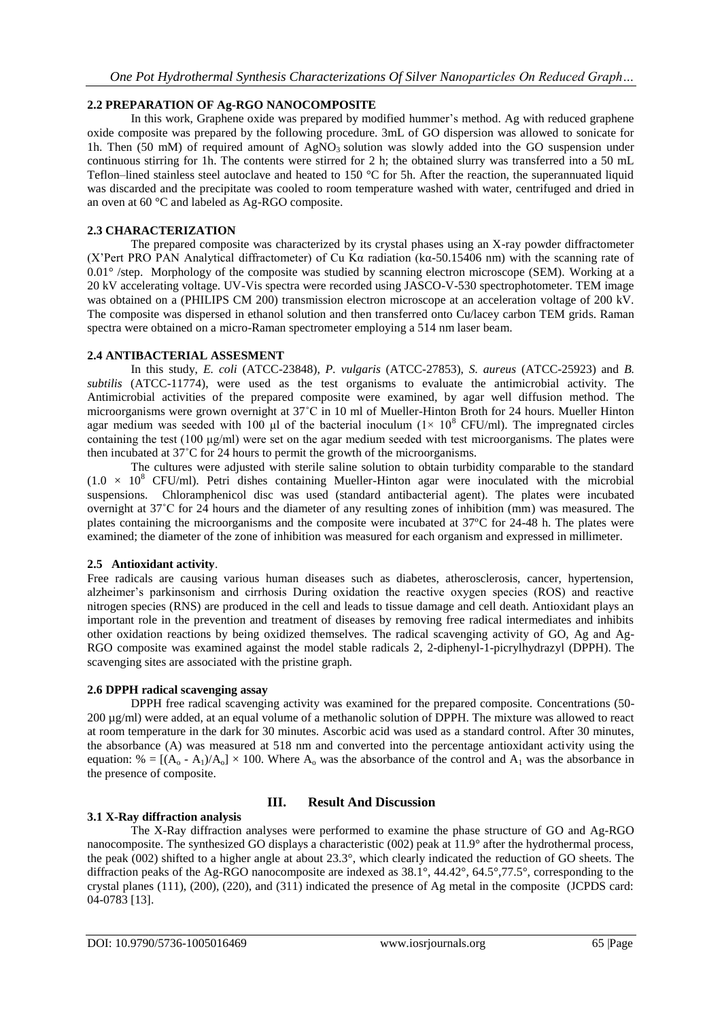## **2.2 PREPARATION OF Ag-RGO NANOCOMPOSITE**

In this work, Graphene oxide was prepared by modified hummer's method. Ag with reduced graphene oxide composite was prepared by the following procedure. 3mL of GO dispersion was allowed to sonicate for 1h. Then (50 mM) of required amount of  $AgNO<sub>3</sub>$  solution was slowly added into the GO suspension under continuous stirring for 1h. The contents were stirred for 2 h; the obtained slurry was transferred into a 50 mL Teflon–lined stainless steel autoclave and heated to 150 °C for 5h. After the reaction, the superannuated liquid was discarded and the precipitate was cooled to room temperature washed with water, centrifuged and dried in an oven at 60 °C and labeled as Ag-RGO composite.

## **2.3 CHARACTERIZATION**

The prepared composite was characterized by its crystal phases using an X-ray powder diffractometer (X'Pert PRO PAN Analytical diffractometer) of Cu Kα radiation (kα-50.15406 nm) with the scanning rate of 0.01° /step. Morphology of the composite was studied by scanning electron microscope (SEM). Working at a 20 kV accelerating voltage. UV-Vis spectra were recorded using JASCO-V-530 spectrophotometer. TEM image was obtained on a (PHILIPS CM 200) transmission electron microscope at an acceleration voltage of 200 kV. The composite was dispersed in ethanol solution and then transferred onto Cu/lacey carbon TEM grids. Raman spectra were obtained on a micro-Raman spectrometer employing a 514 nm laser beam.

## **2.4 ANTIBACTERIAL ASSESMENT**

In this study, *E. coli* (ATCC-23848), *P. vulgaris* (ATCC-27853), *S. aureus* (ATCC-25923) and *B. subtilis* (ATCC-11774), were used as the test organisms to evaluate the antimicrobial activity. The Antimicrobial activities of the prepared composite were examined, by agar well diffusion method. The microorganisms were grown overnight at 37˚C in 10 ml of Mueller-Hinton Broth for 24 hours. Mueller Hinton agar medium was seeded with 100 μl of the bacterial inoculum  $(1 \times 10^8 \text{ CFU/ml})$ . The impregnated circles containing the test (100 μg/ml) were set on the agar medium seeded with test microorganisms. The plates were then incubated at 37˚C for 24 hours to permit the growth of the microorganisms.

The cultures were adjusted with sterile saline solution to obtain turbidity comparable to the standard  $(1.0 \times 10^8 \text{ CFU/ml})$ . Petri dishes containing Mueller-Hinton agar were inoculated with the microbial suspensions. Chloramphenicol disc was used (standard antibacterial agent). The plates were incubated overnight at 37˚C for 24 hours and the diameter of any resulting zones of inhibition (mm) was measured. The plates containing the microorganisms and the composite were incubated at 37ºC for 24-48 h. The plates were examined; the diameter of the zone of inhibition was measured for each organism and expressed in millimeter.

## **2.5 Antioxidant activity**.

Free radicals are causing various human diseases such as diabetes, atherosclerosis, cancer, hypertension, alzheimer's parkinsonism and cirrhosis During oxidation the reactive oxygen species (ROS) and reactive nitrogen species (RNS) are produced in the cell and leads to tissue damage and cell death. Antioxidant plays an important role in the prevention and treatment of diseases by removing free radical intermediates and inhibits other oxidation reactions by being oxidized themselves. The radical scavenging activity of GO, Ag and Ag-RGO composite was examined against the model stable radicals 2, 2-diphenyl-1-picrylhydrazyl (DPPH). The scavenging sites are associated with the pristine graph.

# **2.6 DPPH radical scavenging assay**

DPPH free radical scavenging activity was examined for the prepared composite. Concentrations (50- 200 µg/ml) were added, at an equal volume of a methanolic solution of DPPH. The mixture was allowed to react at room temperature in the dark for 30 minutes. Ascorbic acid was used as a standard control. After 30 minutes, the absorbance (A) was measured at 518 nm and converted into the percentage antioxidant activity using the equation:  $% = [(A_0 - A_1)/A_0] \times 100$ . Where  $A_0$  was the absorbance of the control and  $A_1$  was the absorbance in the presence of composite.

# **III. Result And Discussion**

# **3.1 X-Ray diffraction analysis**

The X-Ray diffraction analyses were performed to examine the phase structure of GO and Ag-RGO nanocomposite. The synthesized GO displays a characteristic (002) peak at 11.9° after the hydrothermal process, the peak (002) shifted to a higher angle at about 23.3°, which clearly indicated the reduction of GO sheets. The diffraction peaks of the Ag-RGO nanocomposite are indexed as 38.1°, 44.42°, 64.5°,77.5°, corresponding to the crystal planes (111), (200), (220), and (311) indicated the presence of Ag metal in the composite (JCPDS card: 04-0783 [13].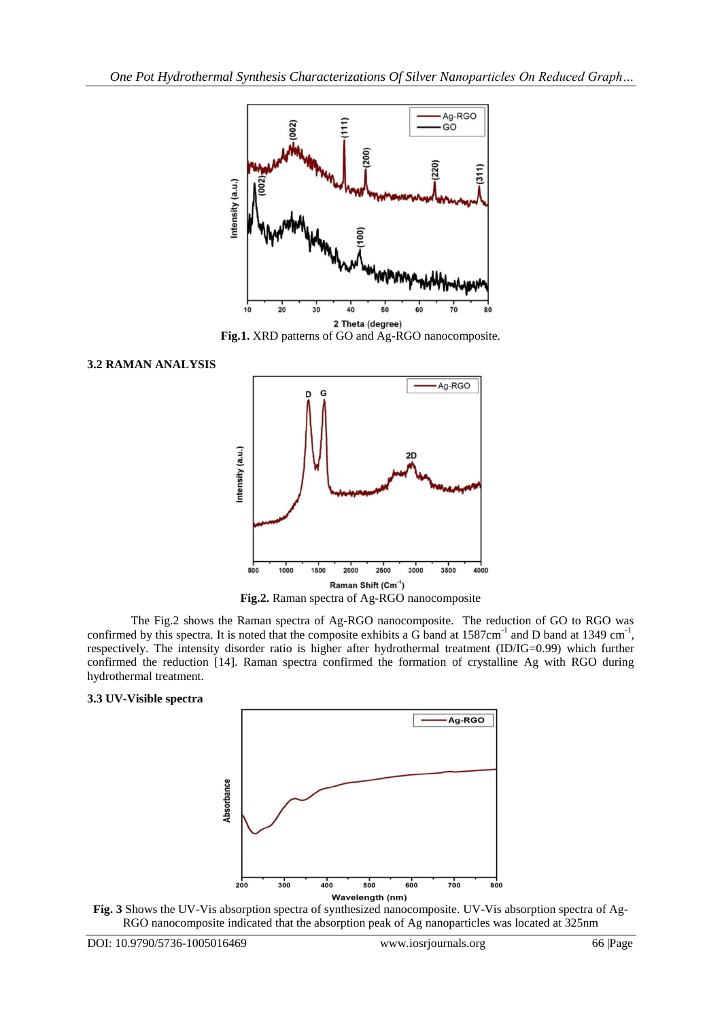

**Fig.1.** XRD patterns of GO and Ag-RGO nanocomposite.





**Fig.2.** Raman spectra of Ag-RGO nanocomposite

The Fig.2 shows the Raman spectra of Ag-RGO nanocomposite. The reduction of GO to RGO was confirmed by this spectra. It is noted that the composite exhibits a G band at  $1587 \text{cm}^{-1}$  and D band at  $1349 \text{cm}^{-1}$ , respectively. The intensity disorder ratio is higher after hydrothermal treatment (ID/IG=0.99) which further confirmed the reduction [14]. Raman spectra confirmed the formation of crystalline Ag with RGO during hydrothermal treatment.

#### **3.3 UV-Visible spectra**



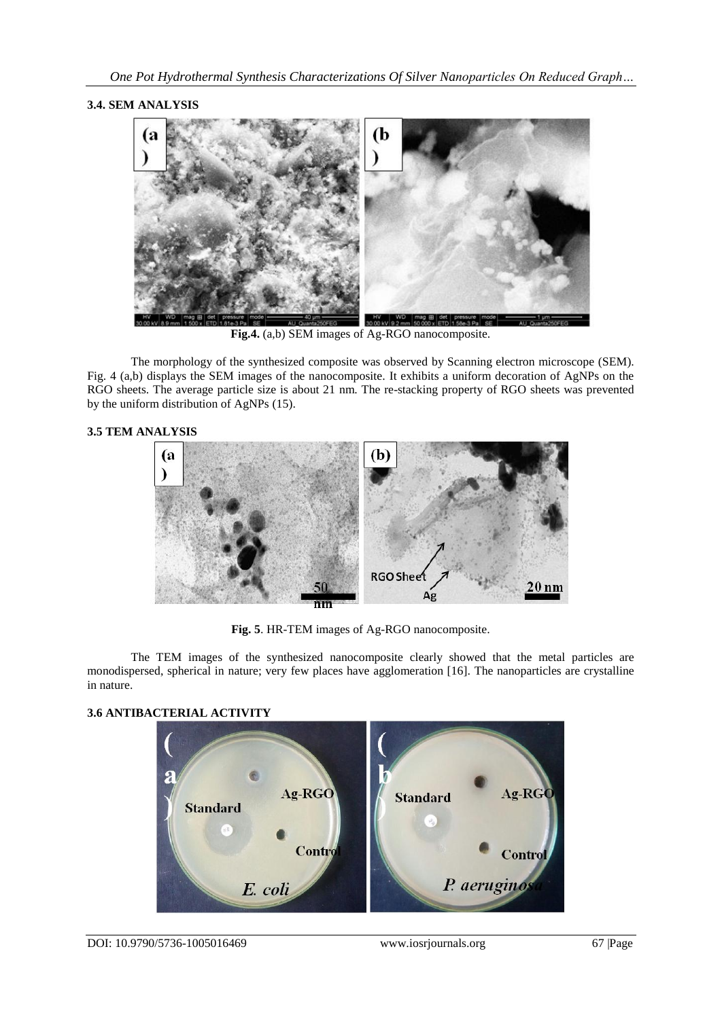## **3.4. SEM ANALYSIS**



**Fig.4.** (a,b) SEM images of Ag-RGO nanocomposite.

The morphology of the synthesized composite was observed by Scanning electron microscope (SEM). Fig. 4 (a,b) displays the SEM images of the nanocomposite. It exhibits a uniform decoration of AgNPs on the RGO sheets. The average particle size is about 21 nm. The re-stacking property of RGO sheets was prevented by the uniform distribution of AgNPs (15).

## **3.5 TEM ANALYSIS**



**Fig. 5**. HR-TEM images of Ag-RGO nanocomposite.

The TEM images of the synthesized nanocomposite clearly showed that the metal particles are monodispersed, spherical in nature; very few places have agglomeration [16]. The nanoparticles are crystalline in nature.

# **3.6 ANTIBACTERIAL ACTIVITY**

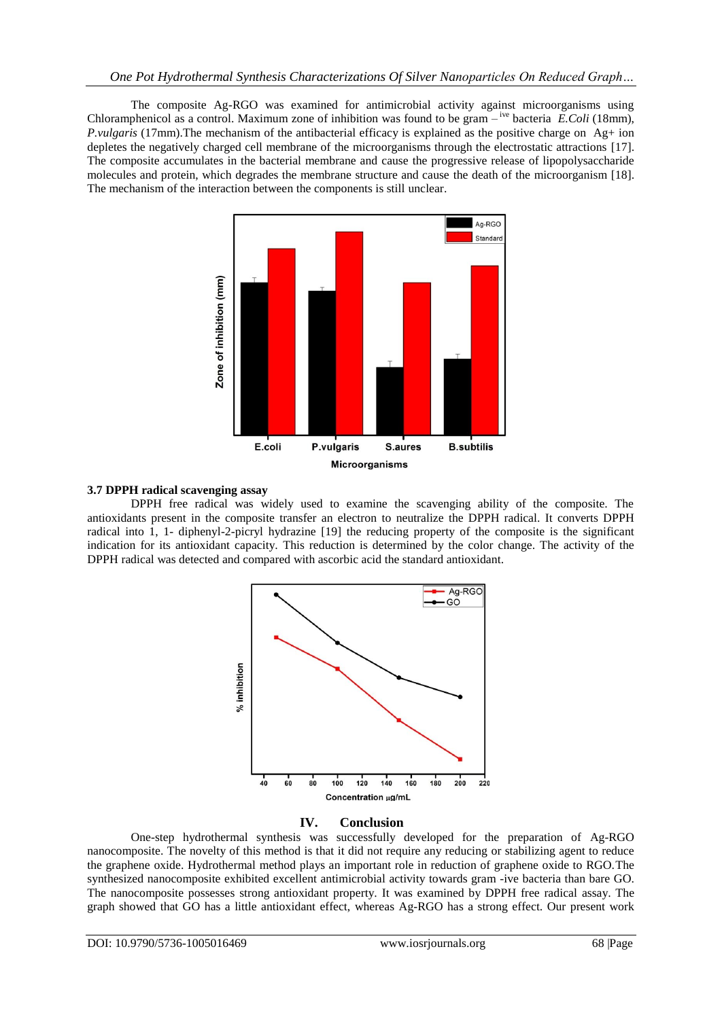The composite Ag-RGO was examined for antimicrobial activity against microorganisms using Chloramphenicol as a control. Maximum zone of inhibition was found to be gram – <sup>ive</sup> bacteria *E.Coli* (18mm), *P.vulgaris* (17mm).The mechanism of the antibacterial efficacy is explained as the positive charge on Ag+ ion depletes the negatively charged cell membrane of the microorganisms through the electrostatic attractions [17]. The composite accumulates in the bacterial membrane and cause the progressive release of lipopolysaccharide molecules and protein, which degrades the membrane structure and cause the death of the microorganism [18]. The mechanism of the interaction between the components is still unclear.



#### **3.7 DPPH radical scavenging assay**

DPPH free radical was widely used to examine the scavenging ability of the composite. The antioxidants present in the composite transfer an electron to neutralize the DPPH radical. It converts DPPH radical into 1, 1- diphenyl-2-picryl hydrazine [19] the reducing property of the composite is the significant indication for its antioxidant capacity. This reduction is determined by the color change. The activity of the DPPH radical was detected and compared with ascorbic acid the standard antioxidant.



#### **IV. Conclusion**

One-step hydrothermal synthesis was successfully developed for the preparation of Ag-RGO nanocomposite. The novelty of this method is that it did not require any reducing or stabilizing agent to reduce the graphene oxide. Hydrothermal method plays an important role in reduction of graphene oxide to RGO.The synthesized nanocomposite exhibited excellent antimicrobial activity towards gram -ive bacteria than bare GO. The nanocomposite possesses strong antioxidant property. It was examined by DPPH free radical assay. The graph showed that GO has a little antioxidant effect, whereas Ag-RGO has a strong effect. Our present work